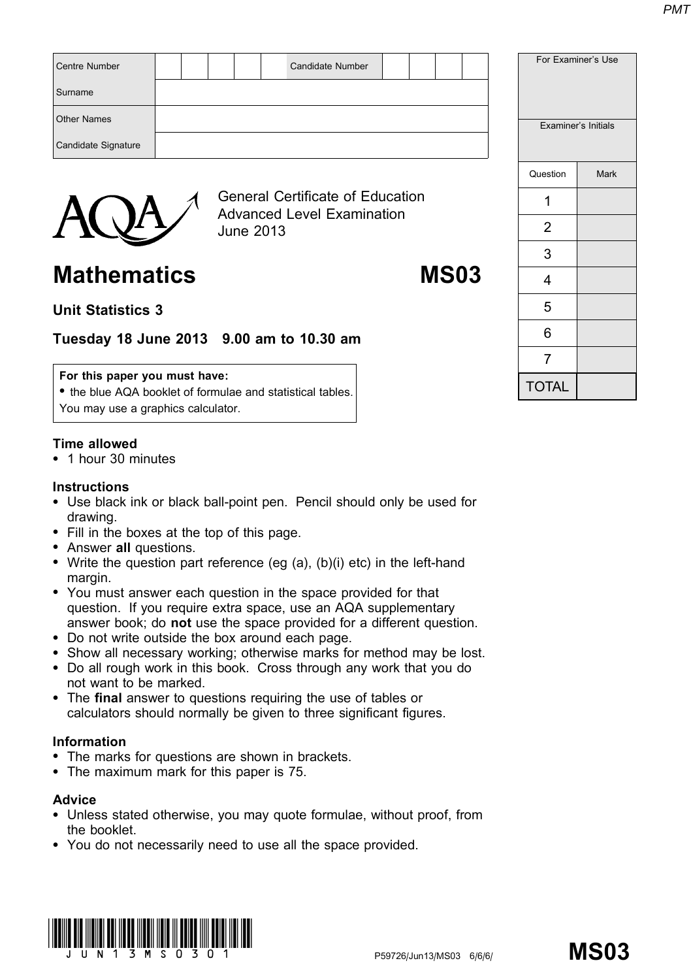| <b>Centre Number</b> |  |                  | <b>Candidate Number</b>                                                      |  |  |  |          | For Examiner's Use  |
|----------------------|--|------------------|------------------------------------------------------------------------------|--|--|--|----------|---------------------|
| Surname              |  |                  |                                                                              |  |  |  |          |                     |
| <b>Other Names</b>   |  |                  |                                                                              |  |  |  |          | Examiner's Initials |
| Candidate Signature  |  |                  |                                                                              |  |  |  |          |                     |
|                      |  |                  |                                                                              |  |  |  | Question | <b>Mark</b>         |
|                      |  |                  | <b>General Certificate of Education</b><br><b>Advanced Level Examination</b> |  |  |  |          |                     |
|                      |  | <b>June 2013</b> |                                                                              |  |  |  | າ        |                     |

Mathematics MS03

# Unit Statistics 3

# Tuesday 18 June 2013 9.00 am to 10.30 am

# For this paper you must have:

• the blue AQA booklet of formulae and statistical tables. You may use a graphics calculator.

# Time allowed

\* 1 hour 30 minutes

# **Instructions**

- Use black ink or black ball-point pen. Pencil should only be used for drawing.
- Fill in the boxes at the top of this page.
- Answer all questions.
- Write the question part reference (eg  $(a)$ ,  $(b)(i)$  etc) in the left-hand margin.
- You must answer each question in the space provided for that question. If you require extra space, use an AQA supplementary answer book; do not use the space provided for a different question.
- \* Do not write outside the box around each page.
- Show all necessary working; otherwise marks for method may be lost.
- \* Do all rough work in this book. Cross through any work that you do not want to be marked.
- The final answer to questions requiring the use of tables or calculators should normally be given to three significant figures.

# Information

- The marks for questions are shown in brackets.
- The maximum mark for this paper is 75.

# Advice

- \* Unless stated otherwise, you may quote formulae, without proof, from the booklet.
- \* You do not necessarily need to use all the space provided.



| Examiner's Initial |    |
|--------------------|----|
| Question           | Ma |
| 1                  |    |
| 2                  |    |
| 3                  |    |
| 4                  |    |
| 5                  |    |
| 6                  |    |
| 7                  |    |

**TOTAL**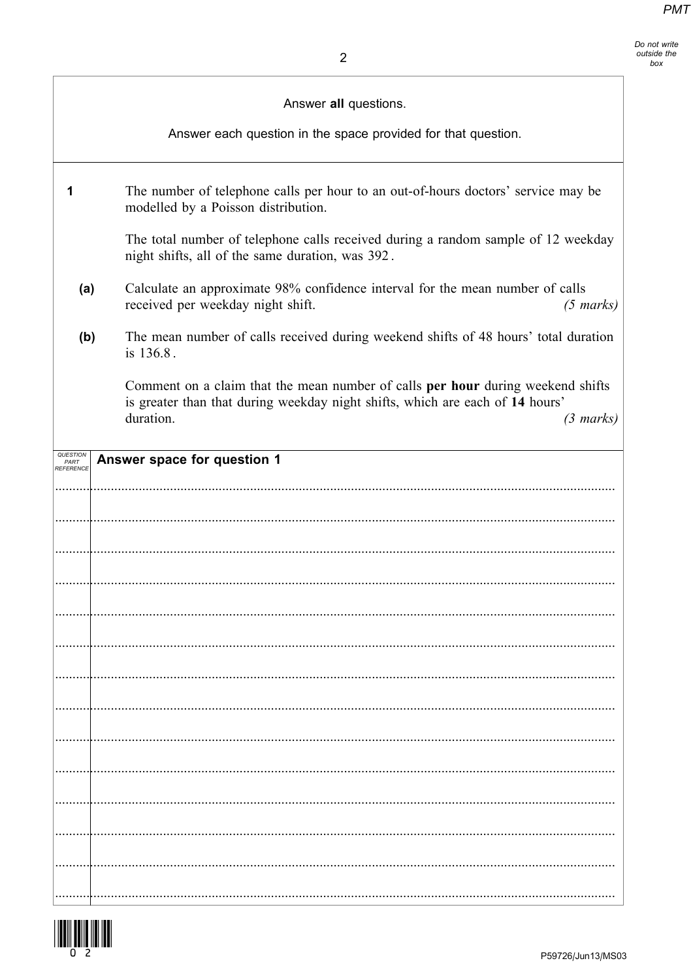Do not write bo not wife<br>outside the<br>box

Answer all questions.

Answer each question in the space provided for that question.

| The number of telephone calls per hour to an out-of-hours doctors' service may be<br>modelled by a Poisson distribution.                                                                             |
|------------------------------------------------------------------------------------------------------------------------------------------------------------------------------------------------------|
| The total number of telephone calls received during a random sample of 12 weekday<br>night shifts, all of the same duration, was 392.                                                                |
| Calculate an approximate 98% confidence interval for the mean number of calls<br>received per weekday night shift.<br>$(5 \text{ marks})$                                                            |
| The mean number of calls received during weekend shifts of 48 hours' total duration<br>is 136.8.                                                                                                     |
| Comment on a claim that the mean number of calls per hour during weekend shifts<br>is greater than that during weekday night shifts, which are each of 14 hours'<br>duration.<br>$(3 \text{ marks})$ |
| Answer space for question 1                                                                                                                                                                          |
|                                                                                                                                                                                                      |
|                                                                                                                                                                                                      |
|                                                                                                                                                                                                      |
|                                                                                                                                                                                                      |
|                                                                                                                                                                                                      |
|                                                                                                                                                                                                      |
|                                                                                                                                                                                                      |
|                                                                                                                                                                                                      |
|                                                                                                                                                                                                      |
|                                                                                                                                                                                                      |
|                                                                                                                                                                                                      |
|                                                                                                                                                                                                      |
|                                                                                                                                                                                                      |
|                                                                                                                                                                                                      |
|                                                                                                                                                                                                      |
|                                                                                                                                                                                                      |



 $\mathbf{1}$ 

 $(a)$ 

 $(b)$ 

QUESTION

PART<br>REFERENCE . . . . . . . . .

. . . . . . . . . .

. . . . . . . . .

. . . . . . . . . .

. . . . . .

. . . . . . . . . .

. . . . . . . . . .

. . . . . . . . . .

. . . . . . .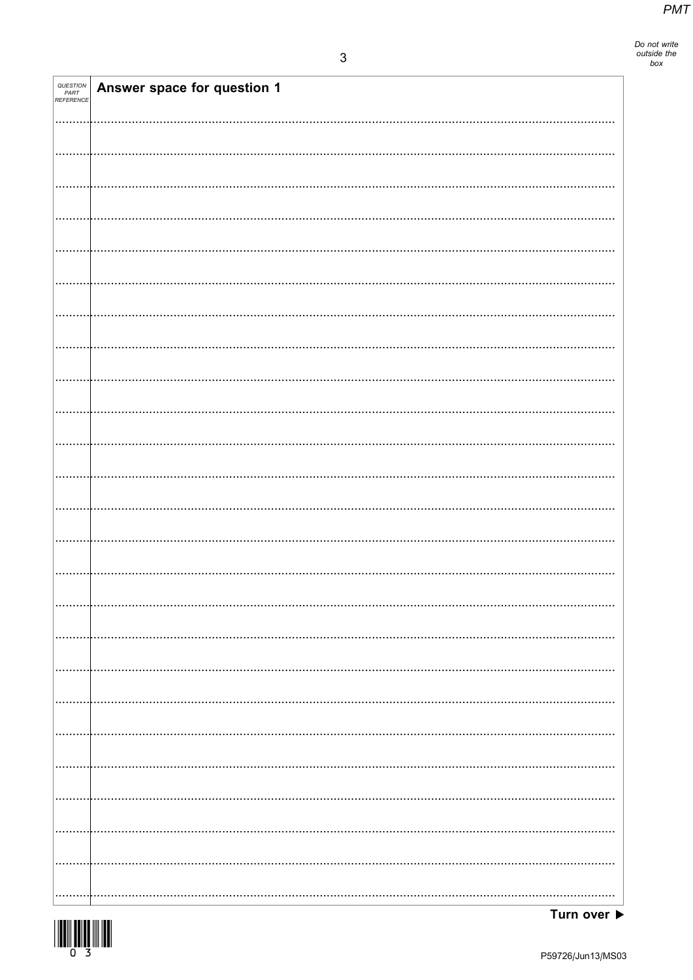Do not write<br>outside the<br>box

| QUESTION<br>PART<br>REFERENCE | Answer space for question 1 |
|-------------------------------|-----------------------------|
|                               |                             |
|                               |                             |
|                               |                             |
|                               |                             |
|                               |                             |
|                               |                             |
|                               |                             |
|                               |                             |
|                               |                             |
|                               |                             |
|                               |                             |
|                               |                             |
|                               |                             |
|                               |                             |
|                               |                             |
|                               |                             |
|                               |                             |
|                               |                             |
|                               |                             |
|                               |                             |
|                               |                             |
|                               |                             |
|                               |                             |
|                               |                             |
|                               |                             |
|                               |                             |
|                               |                             |
|                               |                             |
|                               |                             |
|                               |                             |
|                               |                             |
|                               |                             |

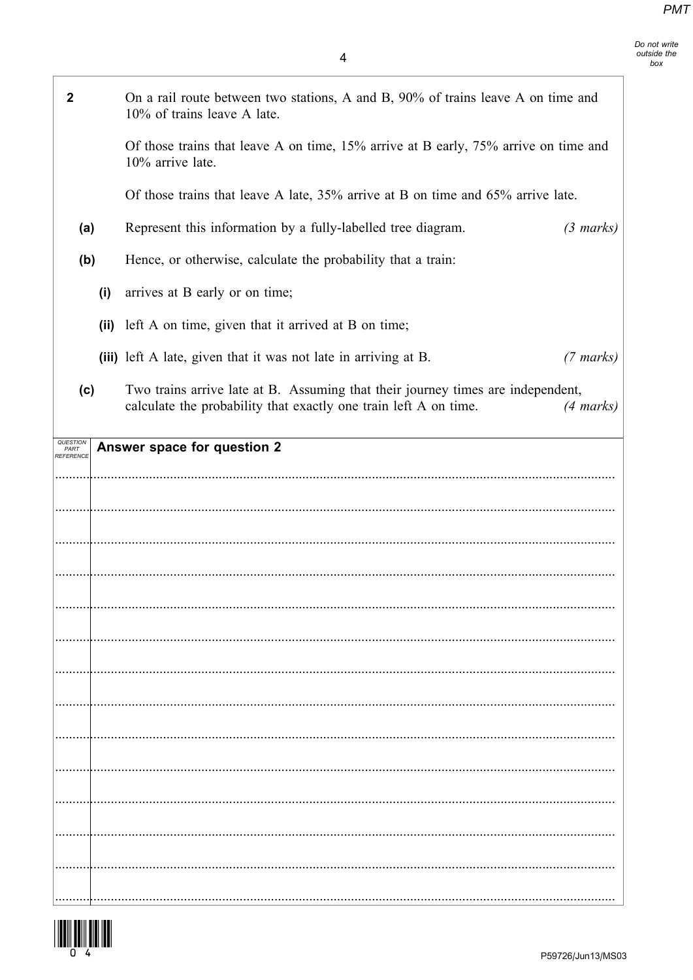| $\mathbf 2$                   |     | On a rail route between two stations, A and B, 90% of trains leave A on time and<br>10% of trains leave A late.                                     |                     |
|-------------------------------|-----|-----------------------------------------------------------------------------------------------------------------------------------------------------|---------------------|
|                               |     | Of those trains that leave A on time, 15% arrive at B early, 75% arrive on time and<br>10% arrive late.                                             |                     |
|                               |     | Of those trains that leave A late, $35\%$ arrive at B on time and $65\%$ arrive late.                                                               |                     |
| (a)                           |     | Represent this information by a fully-labelled tree diagram.                                                                                        | $(3 \text{ marks})$ |
| (b)                           |     | Hence, or otherwise, calculate the probability that a train:                                                                                        |                     |
|                               | (i) | arrives at B early or on time;                                                                                                                      |                     |
|                               |     | (ii) left A on time, given that it arrived at B on time;                                                                                            |                     |
|                               |     | (iii) left A late, given that it was not late in arriving at B.                                                                                     | $(7 \text{ marks})$ |
| (c)                           |     | Two trains arrive late at B. Assuming that their journey times are independent,<br>calculate the probability that exactly one train left A on time. | $(4 \text{ marks})$ |
| QUESTION<br>PART<br>REFERENCE |     | Answer space for question 2                                                                                                                         |                     |
|                               |     |                                                                                                                                                     |                     |
|                               |     |                                                                                                                                                     |                     |
|                               |     |                                                                                                                                                     |                     |
|                               |     |                                                                                                                                                     |                     |
|                               |     |                                                                                                                                                     |                     |
|                               |     |                                                                                                                                                     |                     |
|                               |     |                                                                                                                                                     |                     |
|                               |     |                                                                                                                                                     |                     |
|                               |     |                                                                                                                                                     |                     |
|                               |     |                                                                                                                                                     |                     |
|                               |     |                                                                                                                                                     |                     |
|                               |     |                                                                                                                                                     |                     |
|                               |     |                                                                                                                                                     |                     |
|                               |     |                                                                                                                                                     |                     |
|                               |     |                                                                                                                                                     |                     |

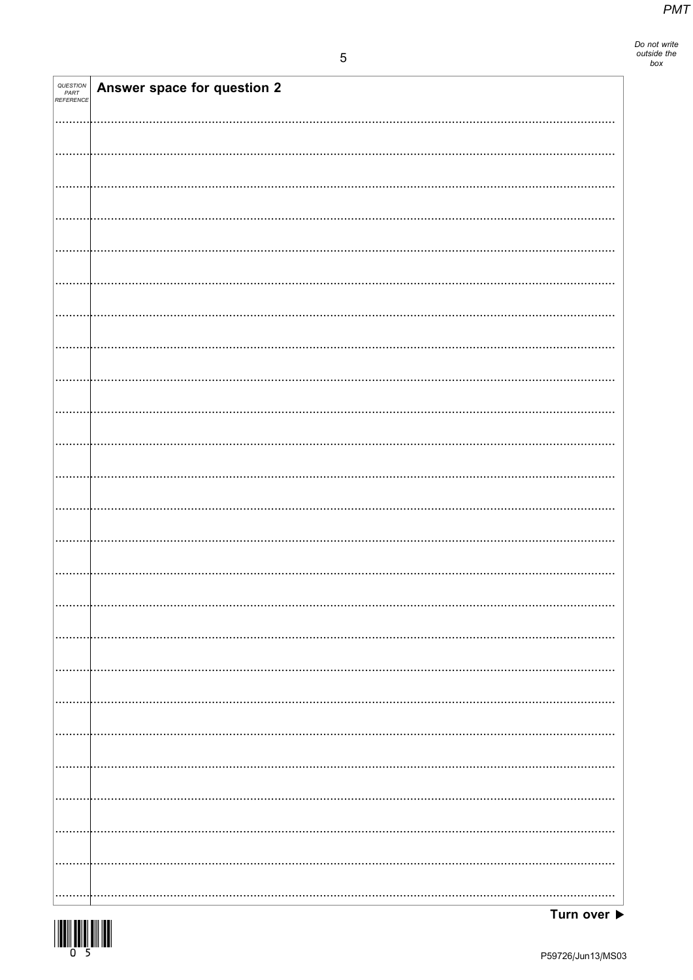Do not write<br>outside the<br>box

| QUESTION<br>PART<br>REFERENCE | Answer space for question 2 |
|-------------------------------|-----------------------------|
|                               |                             |
|                               |                             |
|                               |                             |
|                               |                             |
|                               |                             |
|                               |                             |
|                               |                             |
|                               |                             |
|                               |                             |
|                               |                             |
|                               |                             |
|                               |                             |
|                               |                             |
|                               |                             |
|                               |                             |
|                               |                             |
|                               |                             |
|                               |                             |
|                               |                             |
|                               |                             |
|                               |                             |
|                               |                             |
|                               |                             |
|                               |                             |
|                               |                             |

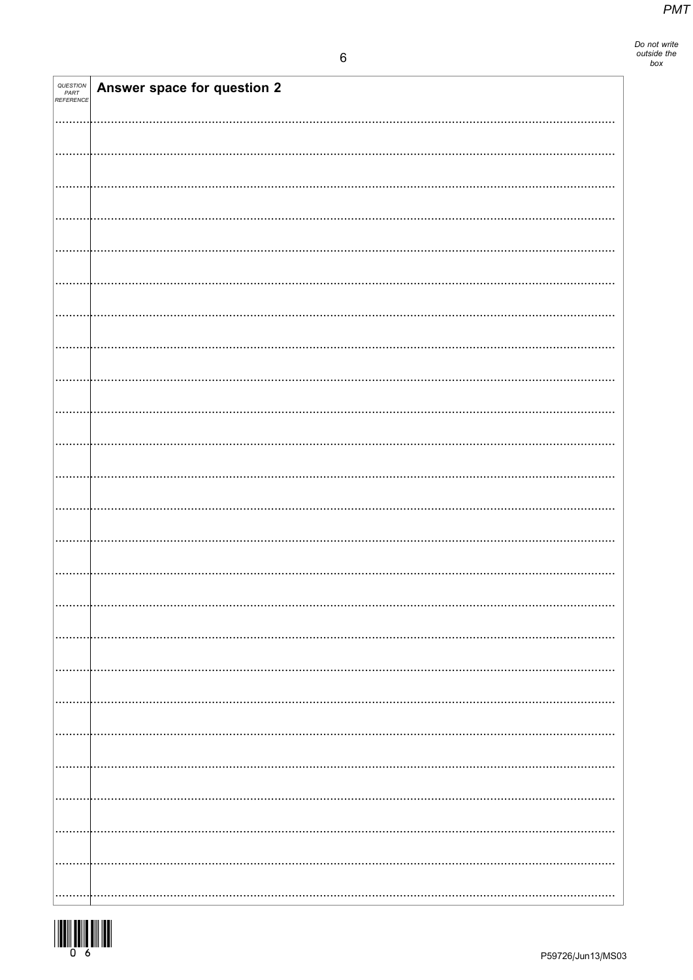| QUESTION<br>PART<br>REFERENCE | Answer space for question 2 |
|-------------------------------|-----------------------------|
|                               |                             |
|                               |                             |
|                               |                             |
|                               |                             |
|                               |                             |
|                               |                             |
|                               |                             |
|                               |                             |
|                               |                             |
|                               |                             |
|                               |                             |
|                               |                             |
|                               |                             |
|                               |                             |
|                               |                             |
|                               |                             |
|                               |                             |
|                               |                             |
|                               |                             |
|                               |                             |
|                               |                             |
|                               |                             |
|                               |                             |
|                               |                             |
|                               |                             |
|                               |                             |
|                               |                             |
|                               |                             |
|                               |                             |

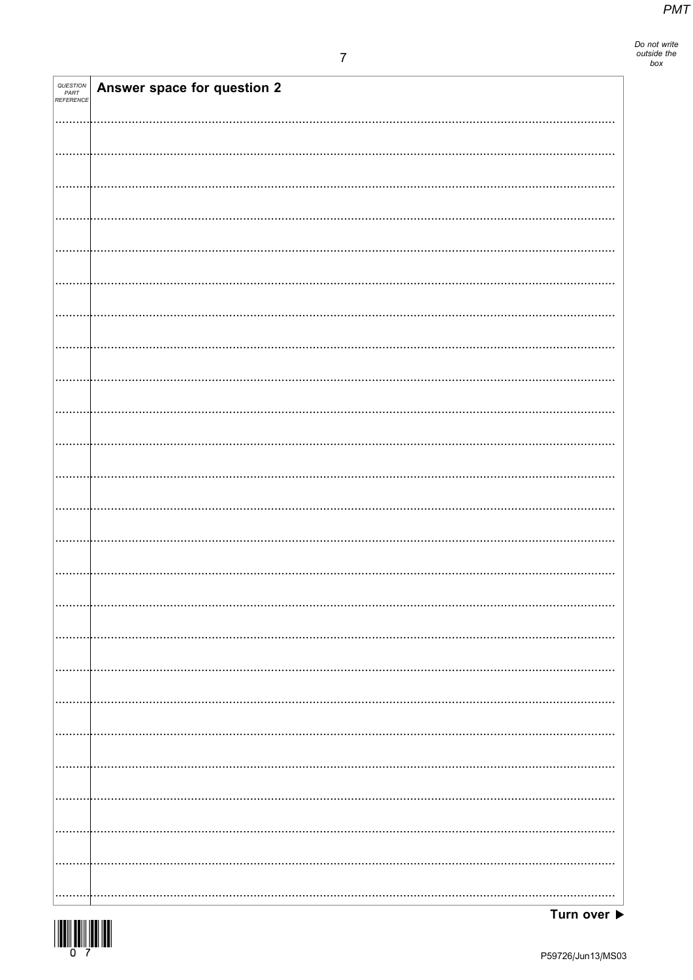Do not write<br>outside the<br>box

| QUESTION<br>PART<br>REFERENCE | Answer space for question 2 |
|-------------------------------|-----------------------------|
|                               |                             |
|                               |                             |
|                               |                             |
|                               |                             |
|                               |                             |
|                               |                             |
|                               |                             |
|                               |                             |
|                               |                             |
|                               |                             |
|                               |                             |
|                               |                             |
|                               |                             |
|                               |                             |
|                               |                             |
|                               |                             |
|                               |                             |
|                               |                             |
|                               |                             |
|                               |                             |
|                               |                             |
|                               |                             |
|                               |                             |
|                               |                             |
|                               |                             |

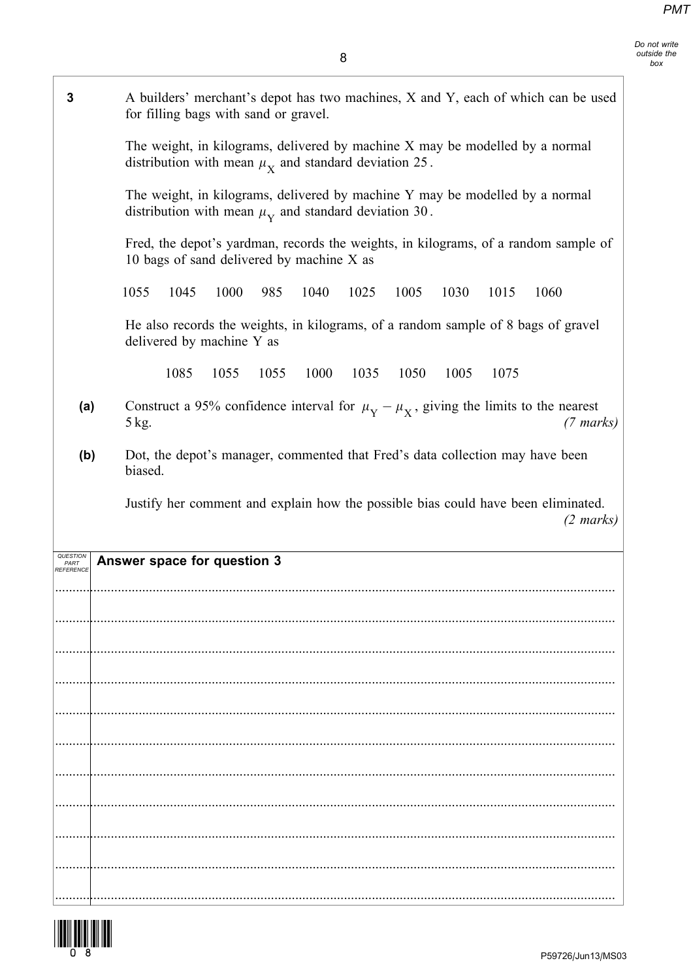Do not write outside the box

3 A builders' merchant's depot has two machines, X and Y, each of which can be used

The weight, in kilograms, delivered by machine X may be modelled by a normal

for filling bags with sand or gravel.

distribution with mean  $\mu_X$  and standard deviation 25.

|           | The weight, in kilograms, delivered by machine Y may be modelled by a normal<br>distribution with mean $\mu_{\rm Y}$ and standard deviation 30. |
|-----------|-------------------------------------------------------------------------------------------------------------------------------------------------|
|           | Fred, the depot's yardman, records the weights, in kilograms, of a random sample of<br>10 bags of sand delivered by machine X as                |
|           | 1055<br>1045<br>1000<br>985<br>1040<br>1025<br>1005<br>1030<br>1015<br>1060                                                                     |
|           | He also records the weights, in kilograms, of a random sample of 8 bags of gravel<br>delivered by machine Y as                                  |
|           | 1085<br>1035<br>1055<br>1055<br>1000<br>1050<br>1005<br>1075                                                                                    |
| (a)       | Construct a 95% confidence interval for $\mu_{\rm Y} - \mu_{\rm X}$ , giving the limits to the nearest<br>5 kg.<br>$(7 \text{ marks})$          |
| (b)       | Dot, the depot's manager, commented that Fred's data collection may have been<br>biased.                                                        |
|           | Justify her comment and explain how the possible bias could have been eliminated.<br>$(2 \text{ marks})$                                        |
| PART      | Answer space for question 3                                                                                                                     |
|           |                                                                                                                                                 |
|           |                                                                                                                                                 |
|           |                                                                                                                                                 |
|           |                                                                                                                                                 |
| REFERENCE |                                                                                                                                                 |
|           |                                                                                                                                                 |
|           |                                                                                                                                                 |
|           |                                                                                                                                                 |

.................................................................................................................................................................

.................................................................................................................................................................

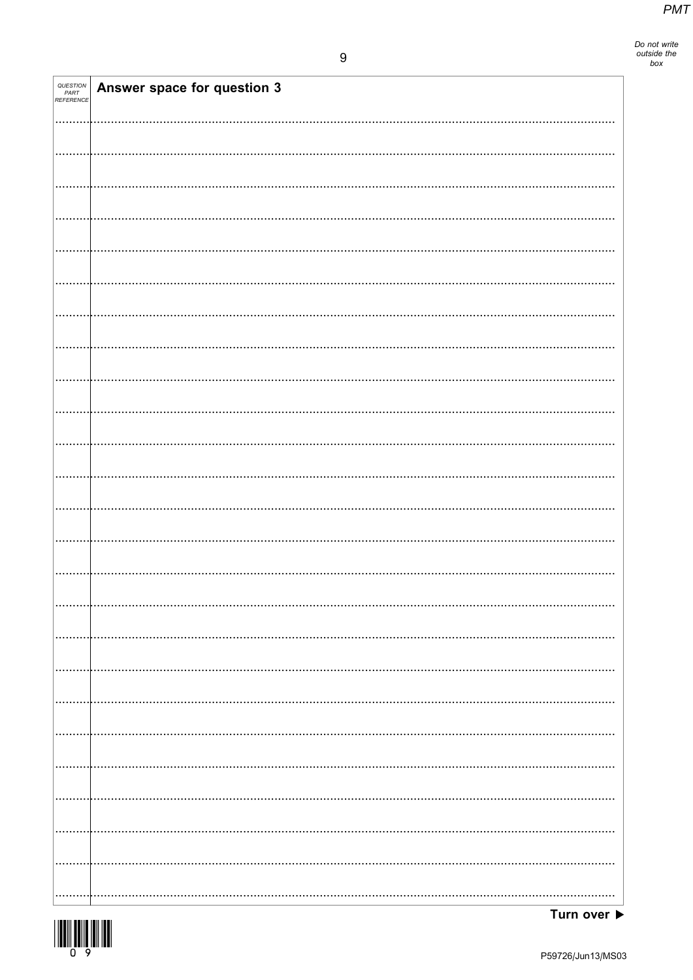Do not write<br>outside the<br>box

| QUESTION<br>PART<br>REFERENCE | Answer space for question 3 |
|-------------------------------|-----------------------------|
|                               |                             |
|                               |                             |
|                               |                             |
|                               |                             |
|                               |                             |
|                               |                             |
|                               |                             |
|                               |                             |
|                               |                             |
|                               |                             |
|                               |                             |
|                               |                             |
|                               |                             |
|                               |                             |
|                               |                             |
|                               |                             |
|                               |                             |
|                               |                             |
|                               |                             |
|                               |                             |
|                               |                             |
|                               |                             |
|                               |                             |
|                               |                             |
|                               |                             |
|                               |                             |



Turn over  $\blacktriangleright$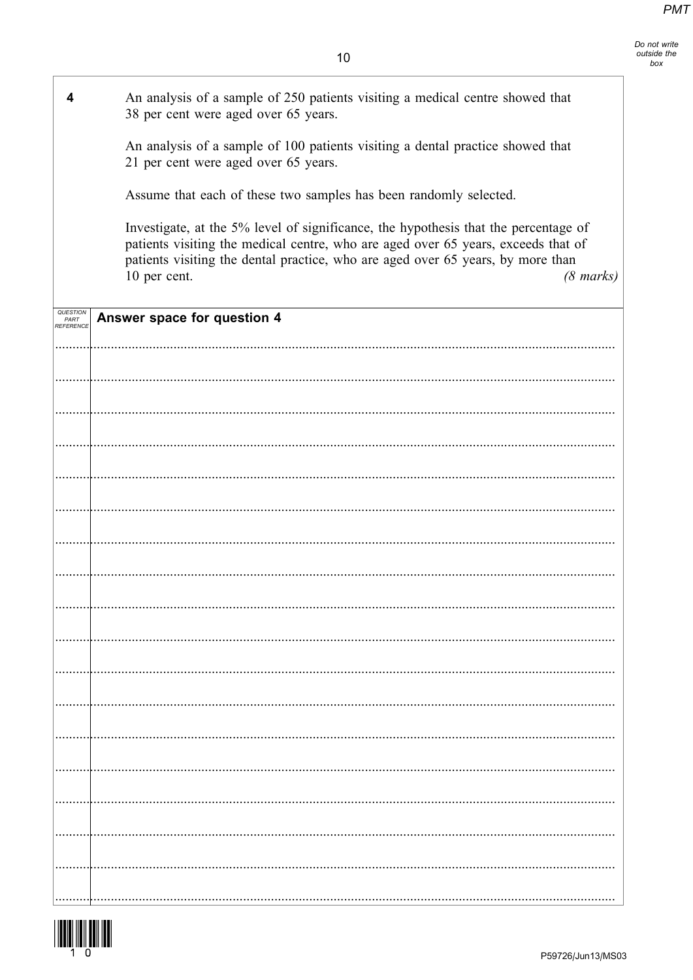| 4                                           | An analysis of a sample of 250 patients visiting a medical centre showed that<br>38 per cent were aged over 65 years.                                                                                                                                                                              |
|---------------------------------------------|----------------------------------------------------------------------------------------------------------------------------------------------------------------------------------------------------------------------------------------------------------------------------------------------------|
|                                             | An analysis of a sample of 100 patients visiting a dental practice showed that<br>21 per cent were aged over 65 years.                                                                                                                                                                             |
|                                             | Assume that each of these two samples has been randomly selected.                                                                                                                                                                                                                                  |
|                                             | Investigate, at the 5% level of significance, the hypothesis that the percentage of<br>patients visiting the medical centre, who are aged over 65 years, exceeds that of<br>patients visiting the dental practice, who are aged over 65 years, by more than<br>10 per cent.<br>$(8 \text{ marks})$ |
| <i><b>QUESTIOI</b></i><br>PART<br>REFERENCE | Answer space for question 4                                                                                                                                                                                                                                                                        |
|                                             |                                                                                                                                                                                                                                                                                                    |
|                                             |                                                                                                                                                                                                                                                                                                    |
|                                             |                                                                                                                                                                                                                                                                                                    |
|                                             |                                                                                                                                                                                                                                                                                                    |
|                                             |                                                                                                                                                                                                                                                                                                    |
|                                             |                                                                                                                                                                                                                                                                                                    |
|                                             |                                                                                                                                                                                                                                                                                                    |
|                                             |                                                                                                                                                                                                                                                                                                    |
|                                             |                                                                                                                                                                                                                                                                                                    |
|                                             |                                                                                                                                                                                                                                                                                                    |
|                                             |                                                                                                                                                                                                                                                                                                    |
|                                             |                                                                                                                                                                                                                                                                                                    |
|                                             |                                                                                                                                                                                                                                                                                                    |
|                                             |                                                                                                                                                                                                                                                                                                    |
|                                             |                                                                                                                                                                                                                                                                                                    |
|                                             |                                                                                                                                                                                                                                                                                                    |
|                                             |                                                                                                                                                                                                                                                                                                    |
|                                             |                                                                                                                                                                                                                                                                                                    |



-F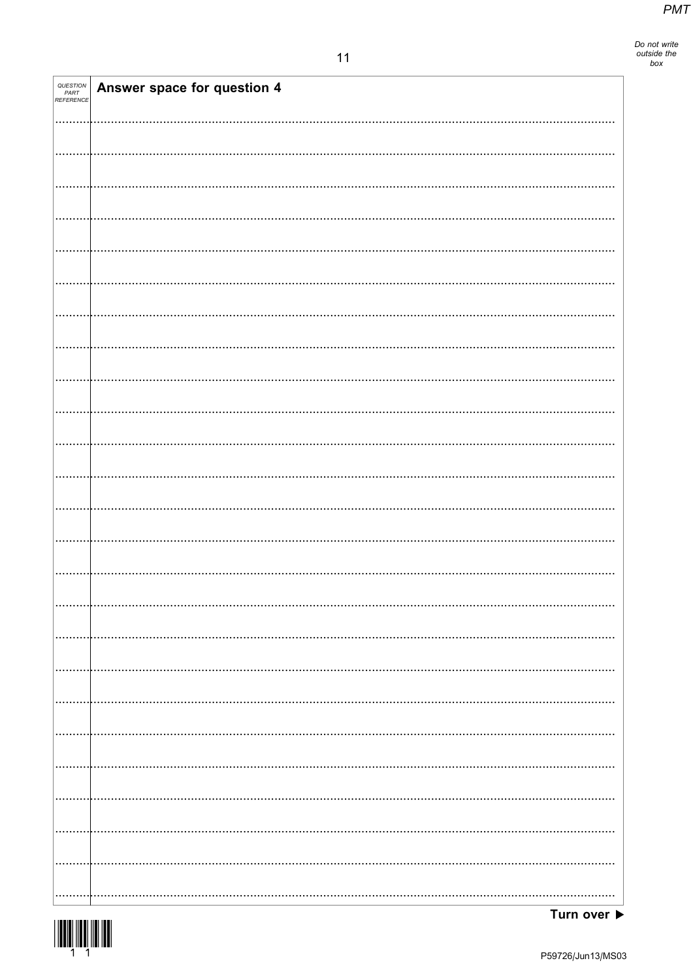Do not write<br>outside the<br>box

| QUESTION<br>PART<br>REFERENCE | Answer space for question 4 |
|-------------------------------|-----------------------------|
|                               |                             |
|                               |                             |
|                               |                             |
|                               |                             |
|                               |                             |
|                               |                             |
|                               |                             |
|                               |                             |
|                               |                             |
|                               |                             |
|                               |                             |
|                               |                             |
|                               |                             |
|                               |                             |
|                               |                             |
|                               |                             |
|                               |                             |
|                               |                             |
|                               |                             |
|                               |                             |
|                               |                             |
|                               |                             |
|                               |                             |
|                               |                             |
|                               |                             |
|                               |                             |
|                               |                             |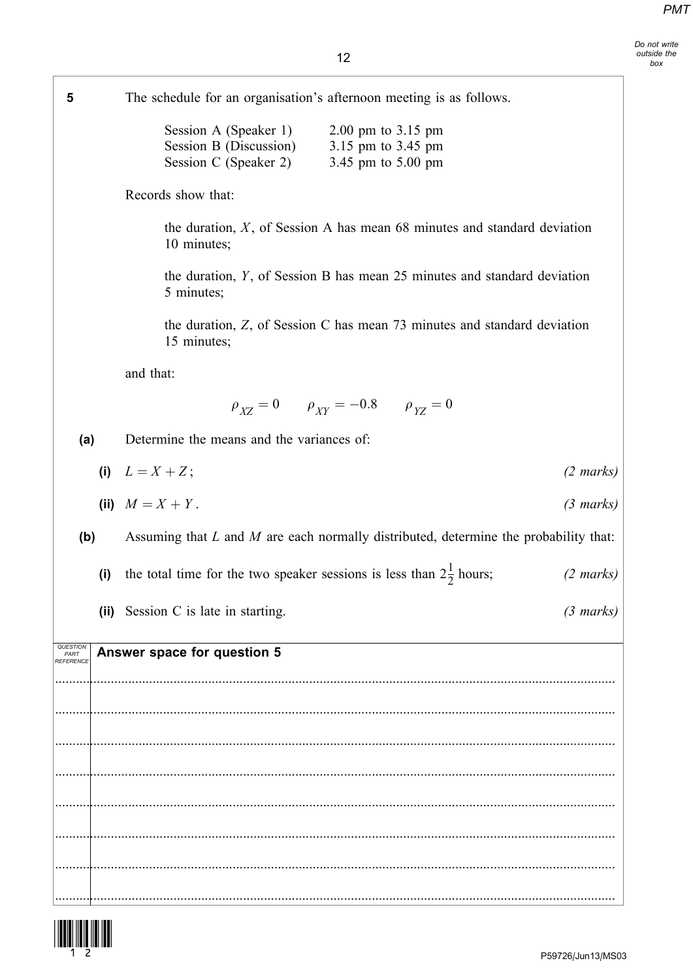Do not write outside the box

| 5                             |     | The schedule for an organisation's afternoon meeting is as follows.                                                                          |                     |
|-------------------------------|-----|----------------------------------------------------------------------------------------------------------------------------------------------|---------------------|
|                               |     | Session A (Speaker 1)<br>2.00 pm to $3.15$ pm<br>Session B (Discussion)<br>3.15 pm to 3.45 pm<br>Session C (Speaker 2)<br>3.45 pm to 5.00 pm |                     |
|                               |     | Records show that:                                                                                                                           |                     |
|                               |     | the duration, $X$ , of Session A has mean 68 minutes and standard deviation<br>10 minutes;                                                   |                     |
|                               |     | the duration, Y, of Session B has mean 25 minutes and standard deviation<br>5 minutes;                                                       |                     |
|                               |     | the duration, Z, of Session C has mean 73 minutes and standard deviation<br>15 minutes;                                                      |                     |
|                               |     | and that:                                                                                                                                    |                     |
|                               |     | $\rho_{XZ} = 0$ $\rho_{XY} = -0.8$ $\rho_{YZ} = 0$                                                                                           |                     |
| (a)                           |     | Determine the means and the variances of:                                                                                                    |                     |
|                               |     | (i) $L = X + Z$ ;                                                                                                                            | $(2 \text{ marks})$ |
|                               |     | (iii) $M = X + Y$ .                                                                                                                          | $(3 \text{ marks})$ |
| (b)                           |     | Assuming that $L$ and $M$ are each normally distributed, determine the probability that:                                                     |                     |
|                               | (i) | the total time for the two speaker sessions is less than $2\frac{1}{2}$ hours;                                                               | $(2 \text{ marks})$ |
|                               |     | (ii) Session C is late in starting.                                                                                                          | $(3 \text{ marks})$ |
| QUESTION<br>PART<br>REFERENCE |     | Answer space for question 5                                                                                                                  |                     |
|                               |     |                                                                                                                                              |                     |
|                               |     |                                                                                                                                              |                     |
|                               |     |                                                                                                                                              |                     |
|                               |     |                                                                                                                                              |                     |
|                               |     |                                                                                                                                              |                     |
|                               |     |                                                                                                                                              |                     |

.................................................................................................................................................................

.................................................................................................................................................................

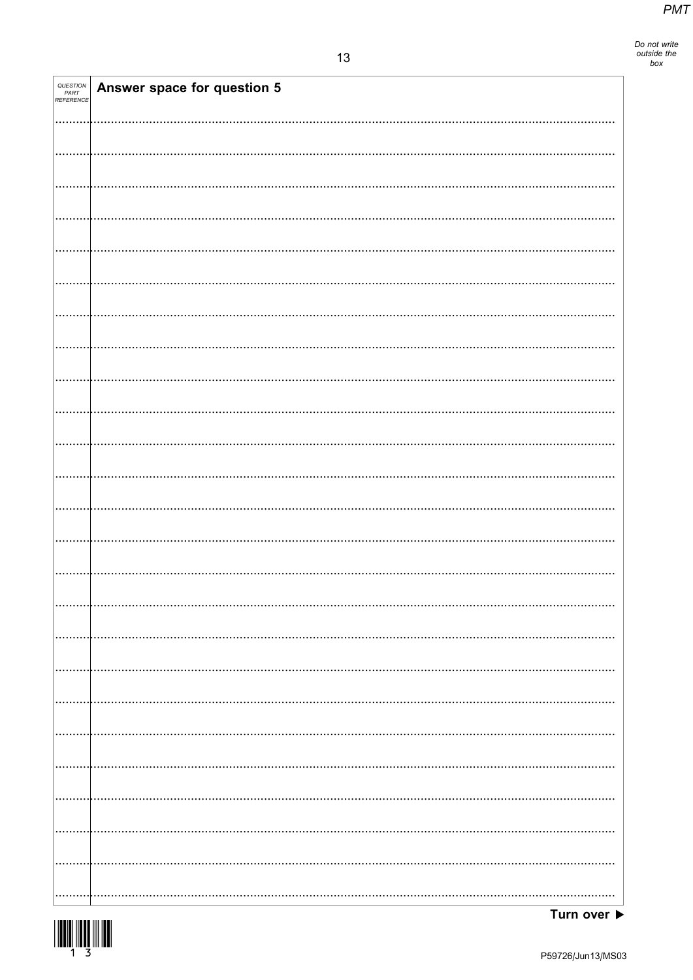Do not write<br>outside the<br>box

| QUESTION<br>PART<br>REFERENCE | Answer space for question 5 |
|-------------------------------|-----------------------------|
|                               |                             |
|                               |                             |
|                               |                             |
|                               |                             |
|                               |                             |
|                               |                             |
|                               |                             |
|                               |                             |
|                               |                             |
|                               |                             |
|                               |                             |
|                               |                             |
|                               |                             |
|                               |                             |
|                               |                             |
|                               |                             |
|                               |                             |
|                               |                             |
|                               |                             |
|                               |                             |
|                               |                             |
|                               |                             |
|                               |                             |
|                               |                             |
|                               |                             |

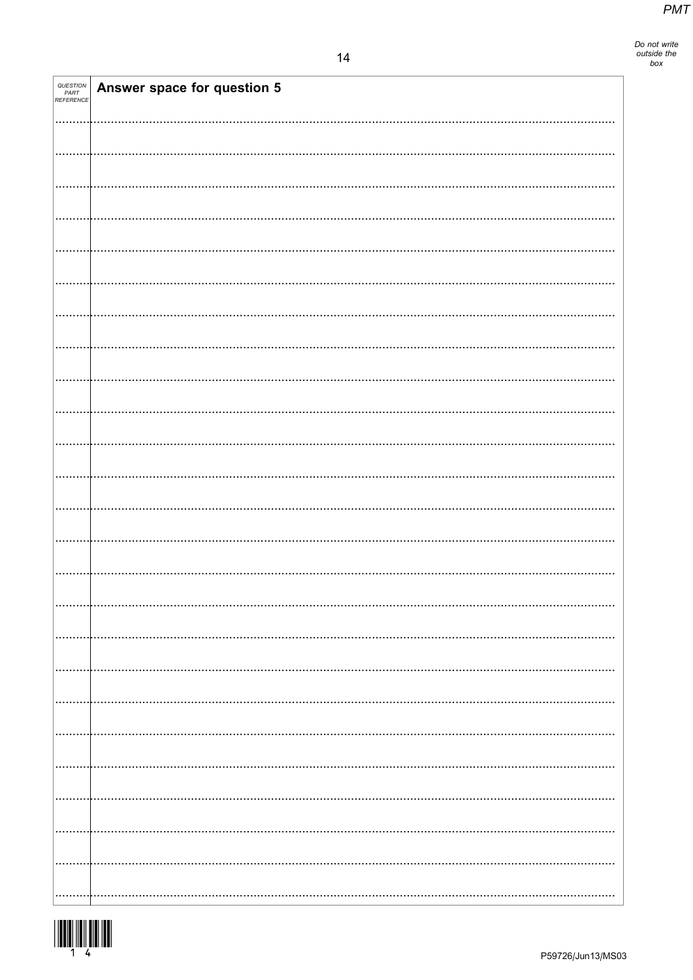| QUESTION<br>PART<br>REFERENCE | Answer space for question 5 |
|-------------------------------|-----------------------------|
|                               |                             |
|                               |                             |
|                               |                             |
|                               |                             |
|                               |                             |
|                               |                             |
|                               |                             |
|                               |                             |
|                               |                             |
|                               |                             |
|                               |                             |
|                               |                             |
|                               |                             |
|                               |                             |
|                               |                             |
|                               |                             |
|                               |                             |
|                               |                             |
|                               |                             |
|                               |                             |
|                               |                             |
|                               |                             |
|                               |                             |
|                               |                             |
|                               |                             |
|                               |                             |

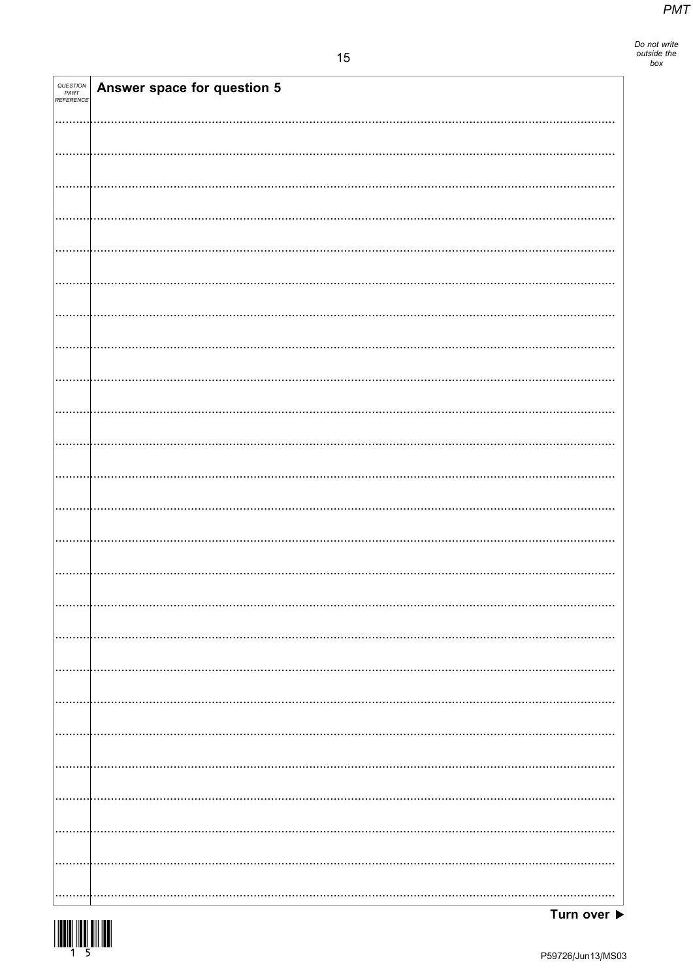Do not write<br>outside the<br>box

| QUESTION<br>PART<br>REFERENCE | Answer space for question 5 |
|-------------------------------|-----------------------------|
|                               |                             |
|                               |                             |
|                               |                             |
|                               |                             |
|                               |                             |
|                               |                             |
|                               |                             |
|                               |                             |
|                               |                             |
|                               |                             |
|                               |                             |
|                               |                             |
|                               |                             |
|                               |                             |
|                               |                             |
|                               |                             |
|                               |                             |
|                               |                             |
|                               |                             |
|                               |                             |
|                               |                             |
|                               |                             |
|                               |                             |
|                               |                             |
|                               |                             |

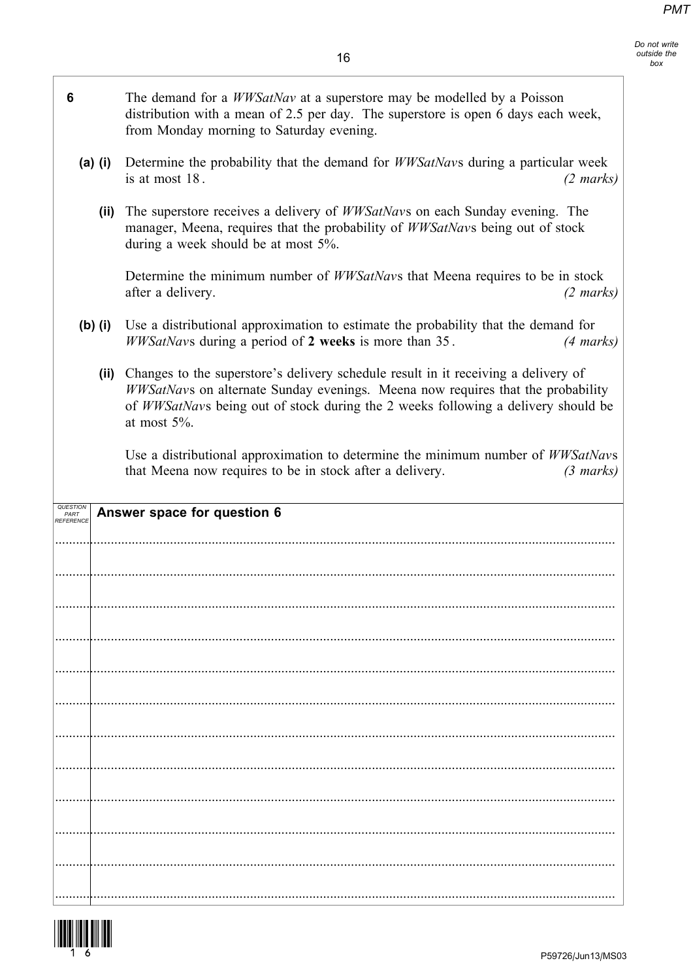Do not write outside the box

1

| 6 |           | The demand for a <i>WWSatNav</i> at a superstore may be modelled by a Poisson<br>distribution with a mean of 2.5 per day. The superstore is open 6 days each week,<br>from Monday morning to Saturday evening.                                                                |
|---|-----------|-------------------------------------------------------------------------------------------------------------------------------------------------------------------------------------------------------------------------------------------------------------------------------|
|   | $(a)$ (i) | Determine the probability that the demand for <i>WWSatNavs</i> during a particular week<br>is at most 18.<br>$(2 \text{ marks})$                                                                                                                                              |
|   | (ii)      | The superstore receives a delivery of <i>WWSatNavs</i> on each Sunday evening. The<br>manager, Meena, requires that the probability of WWSatNavs being out of stock<br>during a week should be at most 5%.                                                                    |
|   |           | Determine the minimum number of <i>WWSatNavs</i> that Meena requires to be in stock<br>after a delivery.<br>$(2 \text{ marks})$                                                                                                                                               |
|   | $(b)$ (i) | Use a distributional approximation to estimate the probability that the demand for<br>WWSatNavs during a period of 2 weeks is more than 35.<br>(4 marks)                                                                                                                      |
|   | (ii)      | Changes to the superstore's delivery schedule result in it receiving a delivery of<br>WWSatNavs on alternate Sunday evenings. Meena now requires that the probability<br>of WWSatNavs being out of stock during the 2 weeks following a delivery should be<br>at most $5\%$ . |
|   |           | Use a distributional approximation to determine the minimum number of WWSatNavs<br>that Meena now requires to be in stock after a delivery.<br>$(3 \text{ marks})$                                                                                                            |
|   |           | Answer space for question 6                                                                                                                                                                                                                                                   |
|   |           |                                                                                                                                                                                                                                                                               |
|   |           |                                                                                                                                                                                                                                                                               |
|   |           |                                                                                                                                                                                                                                                                               |
|   |           |                                                                                                                                                                                                                                                                               |
|   |           |                                                                                                                                                                                                                                                                               |
|   |           |                                                                                                                                                                                                                                                                               |
|   |           |                                                                                                                                                                                                                                                                               |
|   |           |                                                                                                                                                                                                                                                                               |
|   |           |                                                                                                                                                                                                                                                                               |
|   |           |                                                                                                                                                                                                                                                                               |
|   |           |                                                                                                                                                                                                                                                                               |
|   |           |                                                                                                                                                                                                                                                                               |

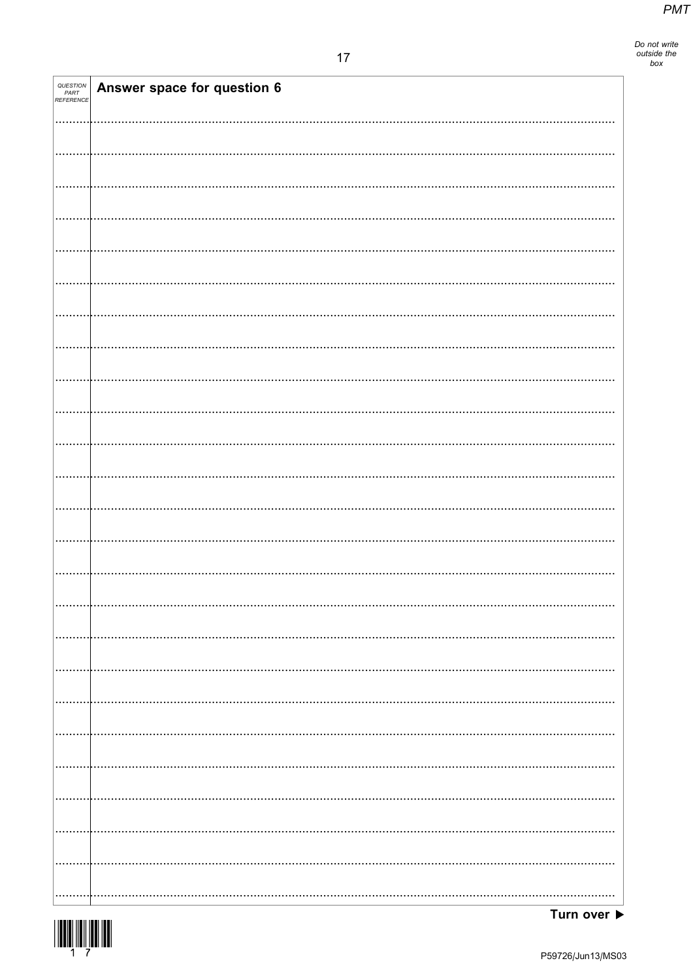| <i>QUESTION<br/>PART<br/>REFERENCE</i> | Answer space for question 6 |
|----------------------------------------|-----------------------------|
|                                        |                             |
|                                        |                             |
|                                        |                             |
|                                        |                             |
|                                        |                             |
|                                        |                             |
|                                        |                             |
|                                        |                             |
|                                        |                             |
|                                        |                             |
|                                        |                             |
|                                        |                             |
|                                        |                             |
|                                        |                             |
|                                        |                             |
|                                        |                             |
|                                        |                             |
|                                        |                             |
|                                        |                             |
|                                        |                             |
|                                        |                             |
|                                        |                             |
|                                        |                             |
|                                        |                             |
|                                        |                             |
|                                        |                             |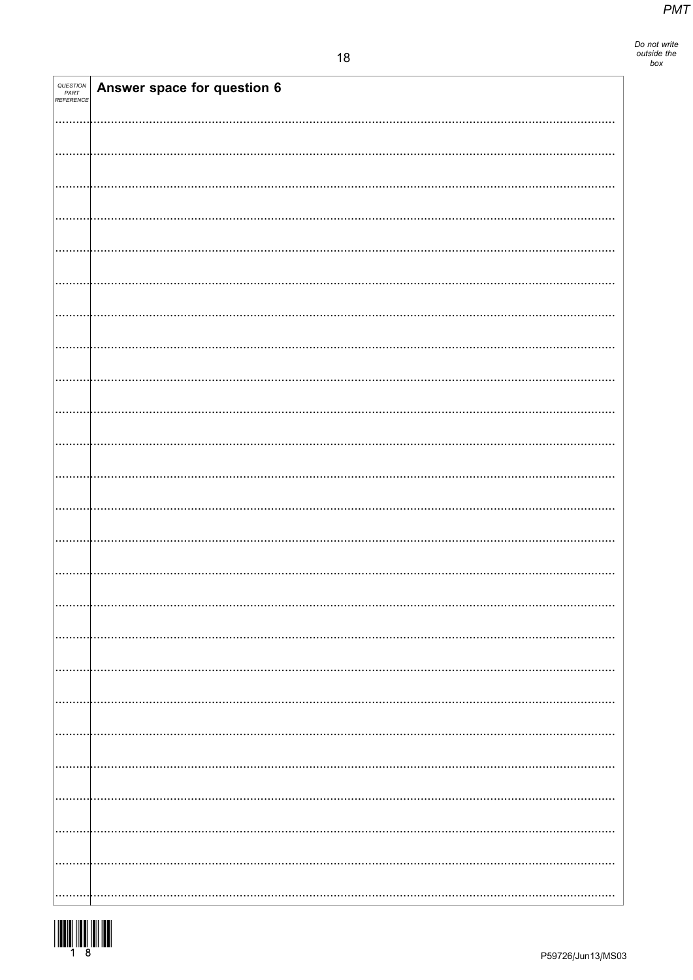| QUESTION<br>PART<br>REFERENCE | Answer space for question 6 |
|-------------------------------|-----------------------------|
|                               |                             |
|                               |                             |
|                               |                             |
|                               |                             |
|                               |                             |
|                               |                             |
|                               |                             |
|                               |                             |
|                               |                             |
|                               |                             |
|                               |                             |
|                               |                             |
|                               |                             |
|                               |                             |
|                               |                             |
|                               |                             |
|                               |                             |
|                               |                             |
|                               |                             |
|                               |                             |
|                               |                             |
|                               |                             |
|                               |                             |
|                               |                             |
|                               |                             |
|                               |                             |
|                               |                             |
|                               |                             |
|                               |                             |
|                               |                             |
|                               |                             |
|                               |                             |

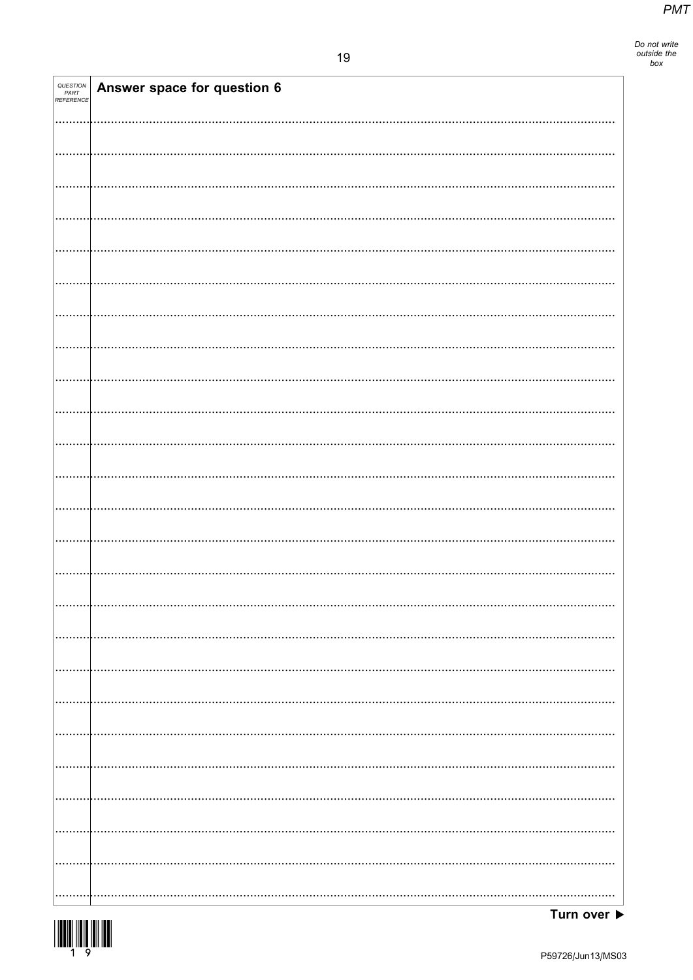Do not write<br>outside the<br>box

| <i>QUESTION<br/>PART<br/>REFERENCE</i> | Answer space for question 6 |
|----------------------------------------|-----------------------------|
|                                        |                             |
|                                        |                             |
|                                        |                             |
|                                        |                             |
|                                        |                             |
|                                        |                             |
|                                        |                             |
|                                        |                             |
|                                        |                             |
|                                        |                             |
|                                        |                             |
|                                        |                             |
|                                        |                             |
|                                        |                             |
|                                        |                             |
|                                        |                             |
|                                        |                             |
|                                        |                             |
|                                        |                             |
|                                        |                             |
|                                        |                             |
|                                        |                             |
|                                        |                             |
|                                        |                             |
|                                        |                             |
|                                        |                             |
|                                        |                             |
|                                        |                             |
|                                        |                             |
|                                        |                             |
|                                        |                             |
|                                        |                             |
|                                        |                             |

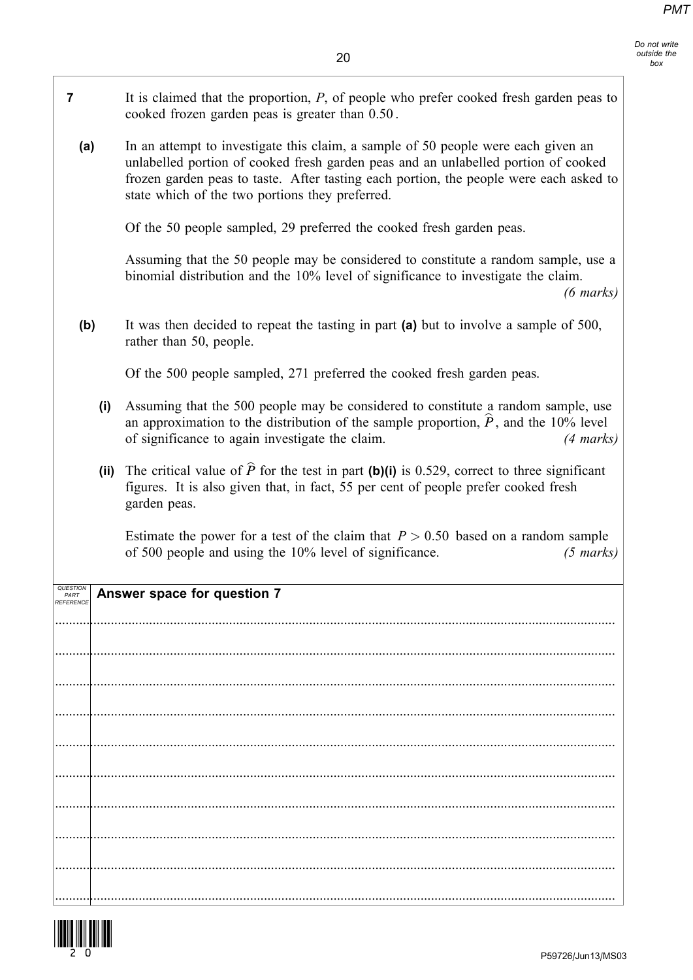Do not write outside the box

| $\overline{\mathbf{r}}$       |      | It is claimed that the proportion, $P$ , of people who prefer cooked fresh garden peas to<br>cooked frozen garden peas is greater than 0.50.                                                                                                                                                                         |  |
|-------------------------------|------|----------------------------------------------------------------------------------------------------------------------------------------------------------------------------------------------------------------------------------------------------------------------------------------------------------------------|--|
| (a)                           |      | In an attempt to investigate this claim, a sample of 50 people were each given an<br>unlabelled portion of cooked fresh garden peas and an unlabelled portion of cooked<br>frozen garden peas to taste. After tasting each portion, the people were each asked to<br>state which of the two portions they preferred. |  |
|                               |      | Of the 50 people sampled, 29 preferred the cooked fresh garden peas.                                                                                                                                                                                                                                                 |  |
|                               |      | Assuming that the 50 people may be considered to constitute a random sample, use a<br>binomial distribution and the 10% level of significance to investigate the claim.<br>$(6 \text{ marks})$                                                                                                                       |  |
| (b)                           |      | It was then decided to repeat the tasting in part (a) but to involve a sample of 500,<br>rather than 50, people.                                                                                                                                                                                                     |  |
|                               |      | Of the 500 people sampled, 271 preferred the cooked fresh garden peas.                                                                                                                                                                                                                                               |  |
|                               | (i)  | Assuming that the 500 people may be considered to constitute a random sample, use<br>an approximation to the distribution of the sample proportion, $\hat{P}$ , and the 10% level<br>of significance to again investigate the claim.<br>(4 marks)                                                                    |  |
|                               | (ii) | The critical value of $\hat{P}$ for the test in part (b)(i) is 0.529, correct to three significant<br>figures. It is also given that, in fact, 55 per cent of people prefer cooked fresh<br>garden peas.                                                                                                             |  |
|                               |      | Estimate the power for a test of the claim that $P > 0.50$ based on a random sample<br>of 500 people and using the 10% level of significance.<br>$(5 \text{ marks})$                                                                                                                                                 |  |
| QUESTION<br>PART<br>REFERENCE |      | Answer space for question 7                                                                                                                                                                                                                                                                                          |  |
|                               |      |                                                                                                                                                                                                                                                                                                                      |  |
|                               |      |                                                                                                                                                                                                                                                                                                                      |  |
|                               |      |                                                                                                                                                                                                                                                                                                                      |  |
|                               |      |                                                                                                                                                                                                                                                                                                                      |  |
|                               |      |                                                                                                                                                                                                                                                                                                                      |  |
|                               |      |                                                                                                                                                                                                                                                                                                                      |  |
|                               |      |                                                                                                                                                                                                                                                                                                                      |  |
|                               |      |                                                                                                                                                                                                                                                                                                                      |  |
|                               |      |                                                                                                                                                                                                                                                                                                                      |  |
|                               |      |                                                                                                                                                                                                                                                                                                                      |  |

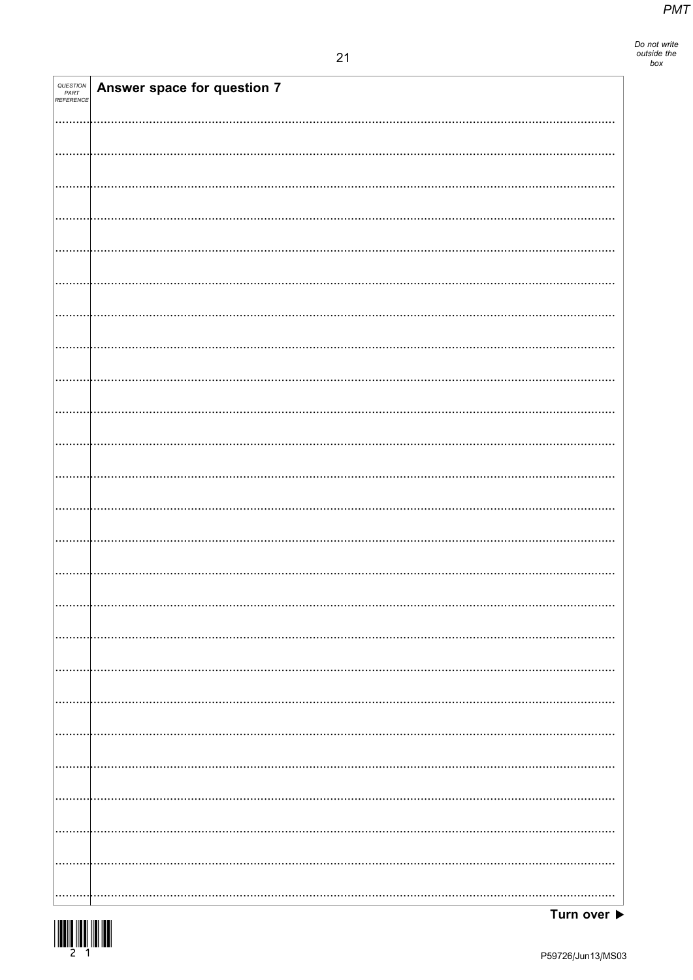Do not write<br>outside the<br>box

| <i>QUESTION<br/>PART<br/>REFERENCE</i> | Answer space for question 7 |
|----------------------------------------|-----------------------------|
|                                        |                             |
|                                        |                             |
|                                        |                             |
|                                        |                             |
|                                        |                             |
|                                        |                             |
|                                        |                             |
|                                        |                             |
|                                        |                             |
|                                        |                             |
|                                        |                             |
|                                        |                             |
|                                        |                             |
|                                        |                             |
|                                        |                             |
|                                        |                             |
|                                        |                             |
|                                        |                             |
|                                        |                             |
|                                        |                             |
|                                        |                             |
|                                        |                             |
|                                        |                             |
|                                        |                             |
|                                        |                             |
|                                        |                             |
|                                        |                             |
|                                        |                             |
|                                        |                             |

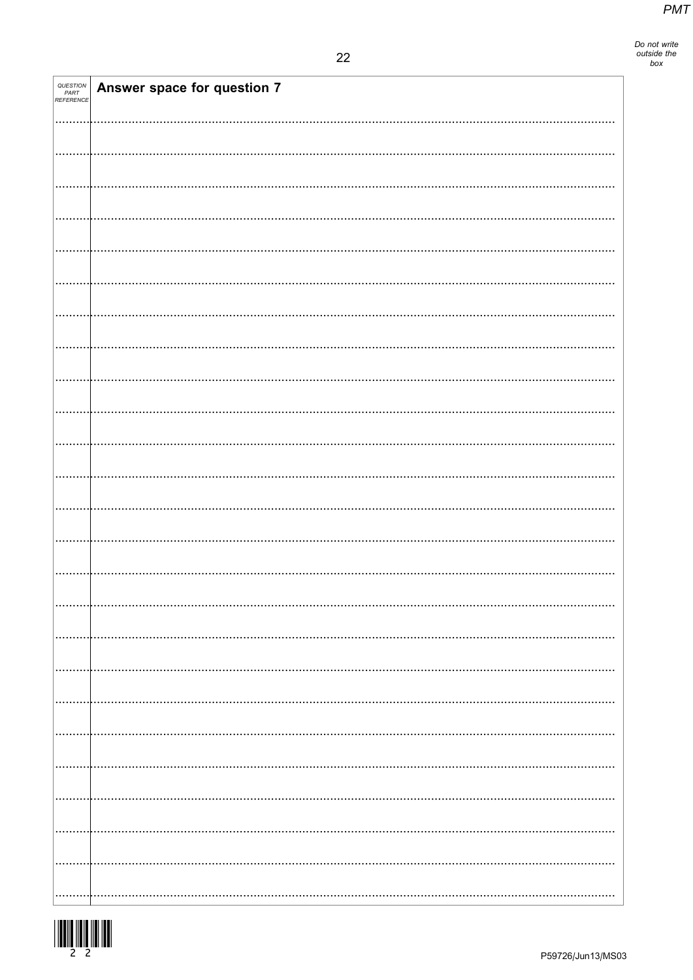| QUESTION<br>PART<br>REFERENCE | Answer space for question 7 |
|-------------------------------|-----------------------------|
|                               |                             |
|                               |                             |
|                               |                             |
|                               |                             |
|                               |                             |
|                               |                             |
|                               |                             |
|                               |                             |
|                               |                             |
|                               |                             |
|                               |                             |
|                               |                             |
|                               |                             |
|                               |                             |
|                               |                             |
|                               |                             |
|                               |                             |
|                               |                             |
|                               |                             |
|                               |                             |
|                               |                             |
|                               |                             |
|                               |                             |
|                               |                             |
|                               |                             |
|                               |                             |
|                               |                             |
|                               |                             |
|                               |                             |
|                               |                             |
|                               |                             |

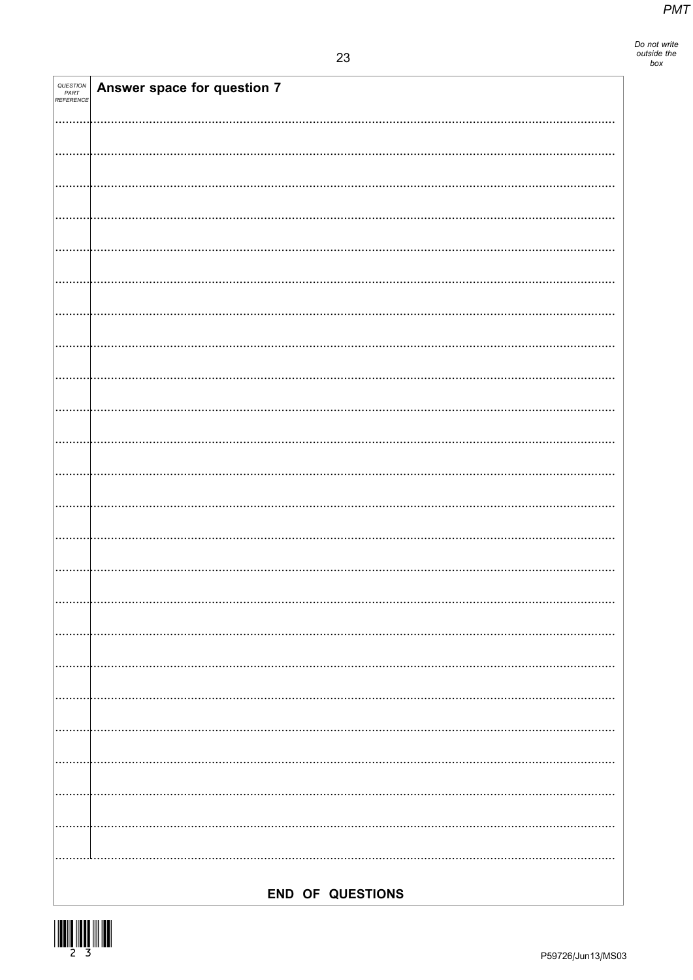| QUESTION<br>PART<br>REFERENCE | Answer space for question 7 |
|-------------------------------|-----------------------------|
|                               |                             |
|                               |                             |
|                               |                             |
|                               |                             |
|                               |                             |
|                               |                             |
|                               |                             |
|                               |                             |
|                               |                             |
|                               |                             |
|                               |                             |
|                               |                             |
|                               |                             |
|                               |                             |
|                               |                             |
|                               |                             |
|                               |                             |
|                               |                             |
|                               |                             |
|                               |                             |
|                               |                             |
|                               |                             |
|                               |                             |
|                               |                             |
|                               |                             |
|                               |                             |
|                               |                             |
|                               |                             |
|                               |                             |
|                               |                             |
|                               |                             |
|                               | END OF QUESTIONS            |